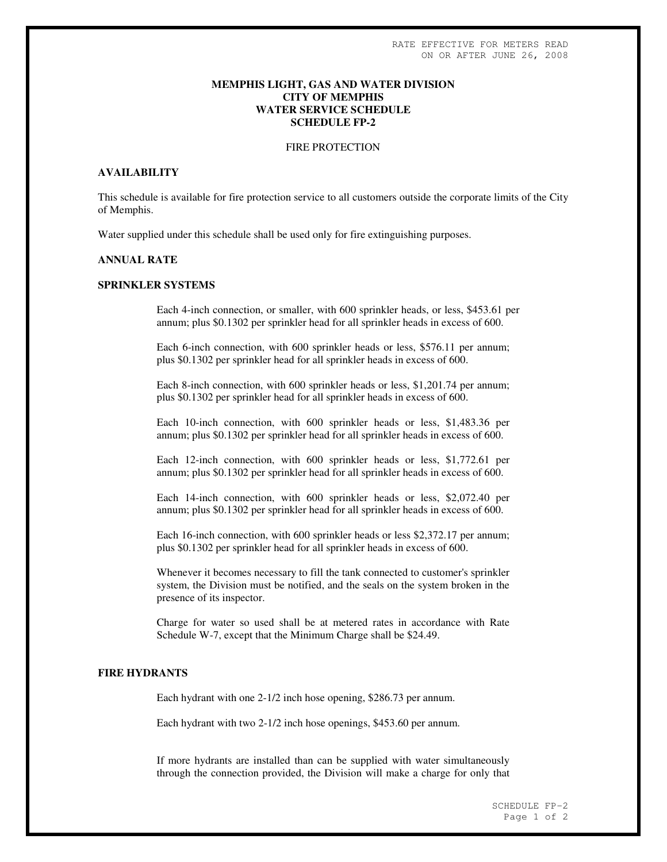### **MEMPHIS LIGHT, GAS AND WATER DIVISION CITY OF MEMPHIS WATER SERVICE SCHEDULE SCHEDULE FP-2**

#### FIRE PROTECTION

# **AVAILABILITY**

This schedule is available for fire protection service to all customers outside the corporate limits of the City of Memphis.

Water supplied under this schedule shall be used only for fire extinguishing purposes.

# **ANNUAL RATE**

#### **SPRINKLER SYSTEMS**

Each 4-inch connection, or smaller, with 600 sprinkler heads, or less, \$453.61 per annum; plus \$0.1302 per sprinkler head for all sprinkler heads in excess of 600.

Each 6-inch connection, with 600 sprinkler heads or less, \$576.11 per annum; plus \$0.1302 per sprinkler head for all sprinkler heads in excess of 600.

Each 8-inch connection, with 600 sprinkler heads or less, \$1,201.74 per annum; plus \$0.1302 per sprinkler head for all sprinkler heads in excess of 600.

Each 10-inch connection, with 600 sprinkler heads or less, \$1,483.36 per annum; plus \$0.1302 per sprinkler head for all sprinkler heads in excess of 600.

Each 12-inch connection, with 600 sprinkler heads or less, \$1,772.61 per annum; plus \$0.1302 per sprinkler head for all sprinkler heads in excess of 600.

Each 14-inch connection, with 600 sprinkler heads or less, \$2,072.40 per annum; plus \$0.1302 per sprinkler head for all sprinkler heads in excess of 600.

Each 16-inch connection, with 600 sprinkler heads or less \$2,372.17 per annum; plus \$0.1302 per sprinkler head for all sprinkler heads in excess of 600.

Whenever it becomes necessary to fill the tank connected to customer's sprinkler system, the Division must be notified, and the seals on the system broken in the presence of its inspector.

Charge for water so used shall be at metered rates in accordance with Rate Schedule W-7, except that the Minimum Charge shall be \$24.49.

### **FIRE HYDRANTS**

Each hydrant with one 2-1/2 inch hose opening, \$286.73 per annum.

Each hydrant with two 2-1/2 inch hose openings, \$453.60 per annum.

If more hydrants are installed than can be supplied with water simultaneously through the connection provided, the Division will make a charge for only that